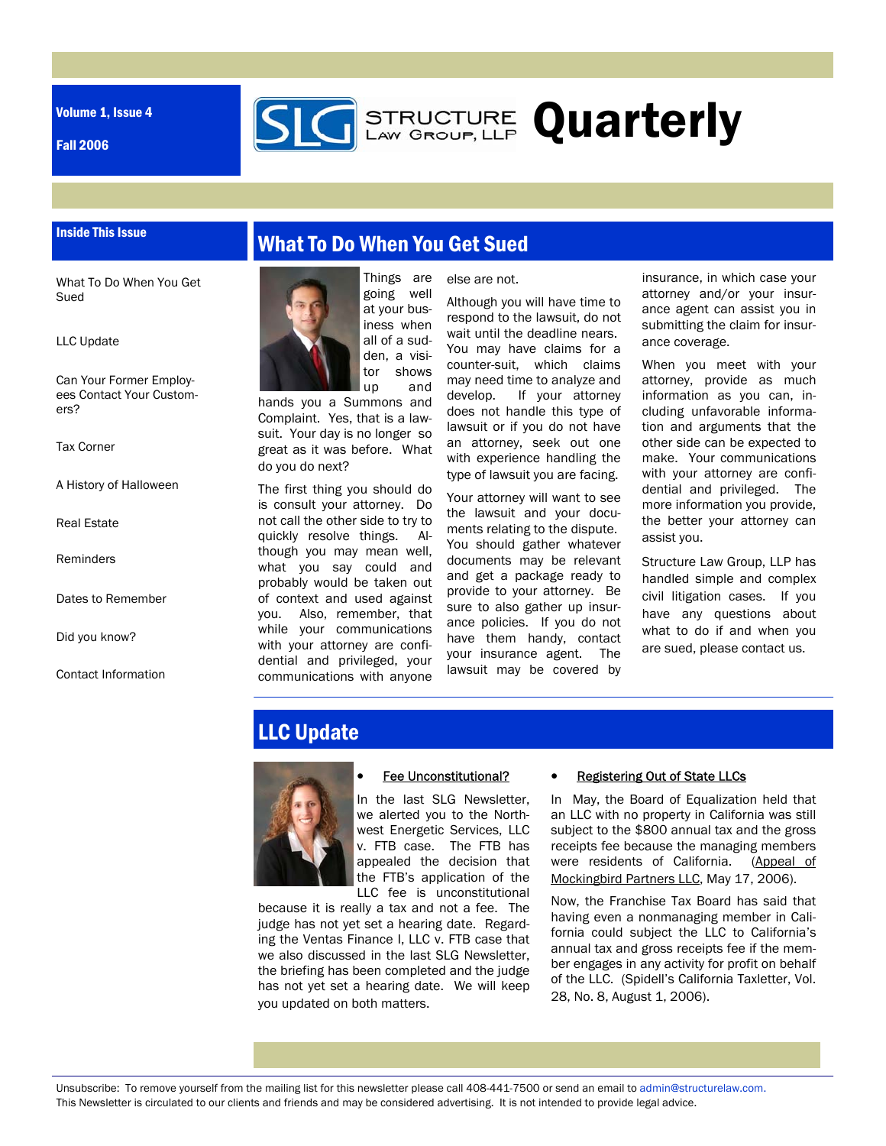Volume 1, Issue 4

Fall 2006



#### Inside This Issue

What To Do When You Get Sued

LLC Update

Can Your Former Employees Contact Your Customers?

Tax Corner

A History of Halloween

Real Estate

Reminders

Dates to Remember

Did you know?

Contact Information

# What To Do When You Get Sued



going well at your business when all of a sudden, a visitor shows up and

hands you a Summons and Complaint. Yes, that is a lawsuit. Your day is no longer so great as it was before. What do you do next?

The first thing you should do is consult your attorney. Do not call the other side to try to quickly resolve things. Although you may mean well, what you say could and probably would be taken out of context and used against you. Also, remember, that while your communications with your attorney are confidential and privileged, your communications with anyone

else are not.

Although you will have time to respond to the lawsuit, do not wait until the deadline nears. You may have claims for a counter-suit, which claims may need time to analyze and develop. If your attorney does not handle this type of lawsuit or if you do not have an attorney, seek out one with experience handling the type of lawsuit you are facing.

Your attorney will want to see the lawsuit and your documents relating to the dispute. You should gather whatever documents may be relevant and get a package ready to provide to your attorney. Be sure to also gather up insurance policies. If you do not have them handy, contact your insurance agent. The lawsuit may be covered by

insurance, in which case your attorney and/or your insurance agent can assist you in submitting the claim for insurance coverage.

When you meet with your attorney, provide as much information as you can, including unfavorable information and arguments that the other side can be expected to make. Your communications with your attorney are confidential and privileged. The more information you provide, the better your attorney can assist you.

Structure Law Group, LLP has handled simple and complex civil litigation cases. If you have any questions about what to do if and when you are sued, please contact us.

# LLC Update



#### Fee Unconstitutional?

In the last SLG Newsletter, we alerted you to the Northwest Energetic Services, LLC v. FTB case. The FTB has appealed the decision that the FTB's application of the LLC fee is unconstitutional

because it is really a tax and not a fee. The judge has not yet set a hearing date. Regarding the Ventas Finance I, LLC v. FTB case that we also discussed in the last SLG Newsletter, the briefing has been completed and the judge has not yet set a hearing date. We will keep you updated on both matters.

#### **Registering Out of State LLCs**

In May, the Board of Equalization held that an LLC with no property in California was still subject to the \$800 annual tax and the gross receipts fee because the managing members were residents of California. (Appeal of Mockingbird Partners LLC, May 17, 2006).

Now, the Franchise Tax Board has said that having even a nonmanaging member in California could subject the LLC to California's annual tax and gross receipts fee if the member engages in any activity for profit on behalf of the LLC. (Spidell's California Taxletter, Vol. 28, No. 8, August 1, 2006).

Unsubscribe: To remove yourself from the mailing list for this newsletter please call 408-441-7500 or send an email to admin@structurelaw.com. This Newsletter is circulated to our clients and friends and may be considered advertising. It is not intended to provide legal advice.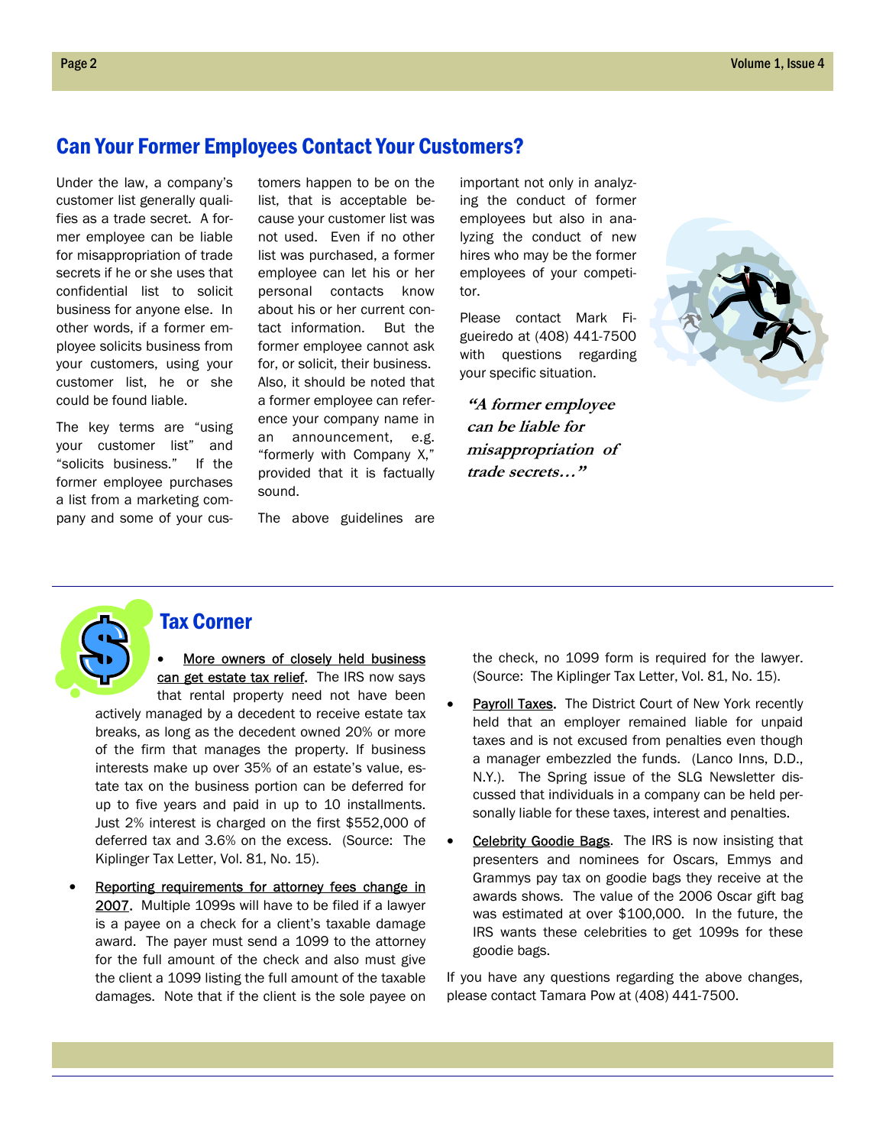#### Can Your Former Employees Contact Your Customers?

Under the law, a company's customer list generally qualifies as a trade secret. A former employee can be liable for misappropriation of trade secrets if he or she uses that confidential list to solicit business for anyone else. In other words, if a former employee solicits business from your customers, using your customer list, he or she could be found liable.

The key terms are "using your customer list" and "solicits business." If the former employee purchases a list from a marketing company and some of your customers happen to be on the list, that is acceptable because your customer list was not used. Even if no other list was purchased, a former employee can let his or her personal contacts know about his or her current contact information. But the former employee cannot ask for, or solicit, their business. Also, it should be noted that a former employee can reference your company name in an announcement, e.g. "formerly with Company X," provided that it is factually sound.

The above guidelines are

important not only in analyzing the conduct of former employees but also in analyzing the conduct of new hires who may be the former employees of your competitor.

Please contact Mark Figueiredo at (408) 441-7500 with questions regarding your specific situation.

**"A former employee can be liable for misappropriation of trade secrets…"** 



#### Tax Corner

More owners of closely held business can get estate tax relief. The IRS now says that rental property need not have been

actively managed by a decedent to receive estate tax breaks, as long as the decedent owned 20% or more of the firm that manages the property. If business interests make up over 35% of an estate's value, estate tax on the business portion can be deferred for up to five years and paid in up to 10 installments. Just 2% interest is charged on the first \$552,000 of deferred tax and 3.6% on the excess. (Source: The Kiplinger Tax Letter, Vol. 81, No. 15).

Reporting requirements for attorney fees change in 2007. Multiple 1099s will have to be filed if a lawyer is a payee on a check for a client's taxable damage award. The payer must send a 1099 to the attorney for the full amount of the check and also must give the client a 1099 listing the full amount of the taxable damages. Note that if the client is the sole payee on

the check, no 1099 form is required for the lawyer. (Source: The Kiplinger Tax Letter, Vol. 81, No. 15).

- Payroll Taxes. The District Court of New York recently held that an employer remained liable for unpaid taxes and is not excused from penalties even though a manager embezzled the funds. (Lanco Inns, D.D., N.Y.). The Spring issue of the SLG Newsletter discussed that individuals in a company can be held personally liable for these taxes, interest and penalties.
- **Celebrity Goodie Bags.** The IRS is now insisting that presenters and nominees for Oscars, Emmys and Grammys pay tax on goodie bags they receive at the awards shows. The value of the 2006 Oscar gift bag was estimated at over \$100,000. In the future, the IRS wants these celebrities to get 1099s for these goodie bags.

If you have any questions regarding the above changes, please contact Tamara Pow at (408) 441-7500.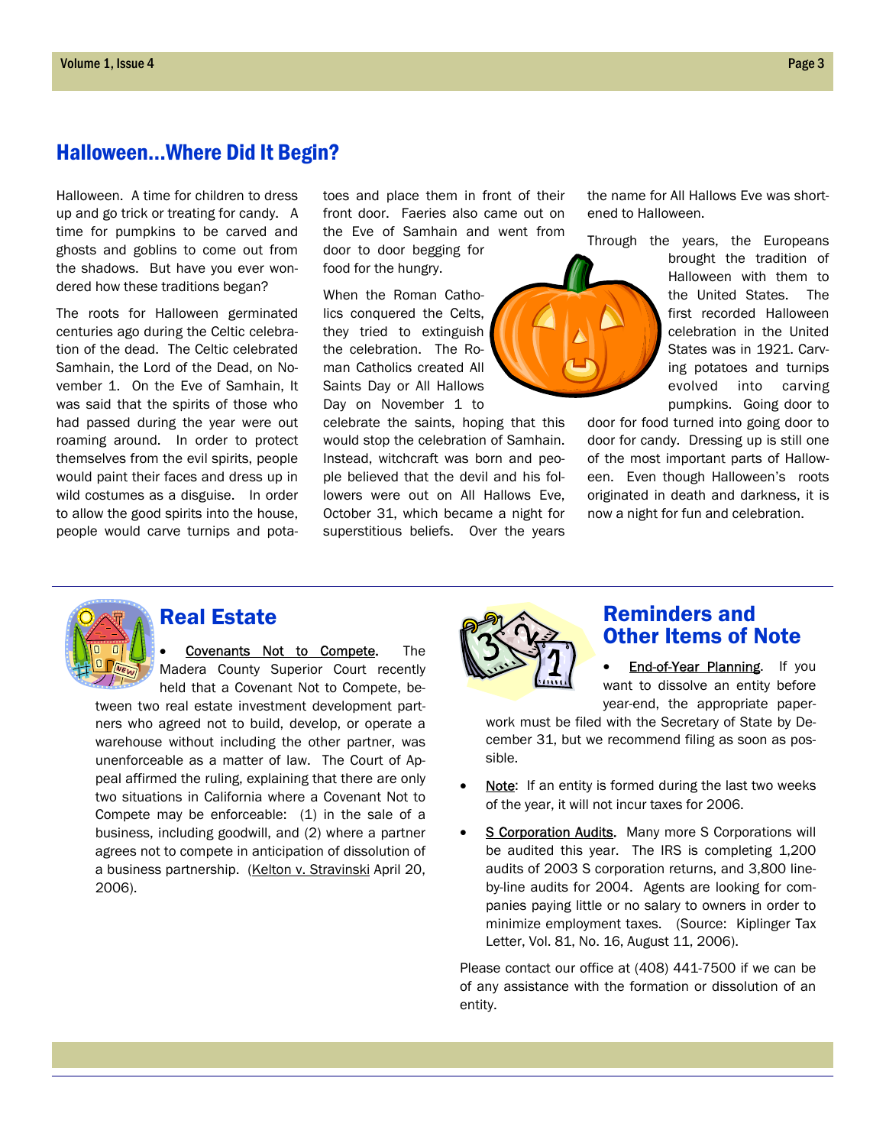## Halloween...Where Did It Begin?

Halloween. A time for children to dress up and go trick or treating for candy. A time for pumpkins to be carved and ghosts and goblins to come out from the shadows. But have you ever wondered how these traditions began?

The roots for Halloween germinated centuries ago during the Celtic celebration of the dead. The Celtic celebrated Samhain, the Lord of the Dead, on November 1. On the Eve of Samhain, It was said that the spirits of those who had passed during the year were out roaming around. In order to protect themselves from the evil spirits, people would paint their faces and dress up in wild costumes as a disguise. In order to allow the good spirits into the house, people would carve turnips and potatoes and place them in front of their front door. Faeries also came out on the Eve of Samhain and went from door to door begging for food for the hungry.

When the Roman Catholics conquered the Celts, they tried to extinguish the celebration. The Roman Catholics created All Saints Day or All Hallows Day on November 1 to

celebrate the saints, hoping that this would stop the celebration of Samhain. Instead, witchcraft was born and people believed that the devil and his followers were out on All Hallows Eve, October 31, which became a night for superstitious beliefs. Over the years

the name for All Hallows Eve was shortened to Halloween.

Through the years, the Europeans

brought the tradition of Halloween with them to the United States. The first recorded Halloween celebration in the United States was in 1921. Carving potatoes and turnips evolved into carving pumpkins. Going door to

door for food turned into going door to door for candy. Dressing up is still one of the most important parts of Halloween. Even though Halloween's roots originated in death and darkness, it is now a night for fun and celebration.



## Real Estate

**Covenants Not to Compete.** The Madera County Superior Court recently held that a Covenant Not to Compete, be-

tween two real estate investment development partners who agreed not to build, develop, or operate a warehouse without including the other partner, was unenforceable as a matter of law. The Court of Appeal affirmed the ruling, explaining that there are only two situations in California where a Covenant Not to Compete may be enforceable: (1) in the sale of a business, including goodwill, and (2) where a partner agrees not to compete in anticipation of dissolution of a business partnership. (Kelton v. Stravinski April 20, 2006).



## Reminders and Other Items of Note

**End-of-Year Planning.** If you want to dissolve an entity before year-end, the appropriate paper-

work must be filed with the Secretary of State by December 31, but we recommend filing as soon as possible.

- Note: If an entity is formed during the last two weeks of the year, it will not incur taxes for 2006.
- S Corporation Audits. Many more S Corporations will be audited this year. The IRS is completing 1,200 audits of 2003 S corporation returns, and 3,800 lineby-line audits for 2004. Agents are looking for companies paying little or no salary to owners in order to minimize employment taxes. (Source: Kiplinger Tax Letter, Vol. 81, No. 16, August 11, 2006).

Please contact our office at (408) 441-7500 if we can be of any assistance with the formation or dissolution of an entity.